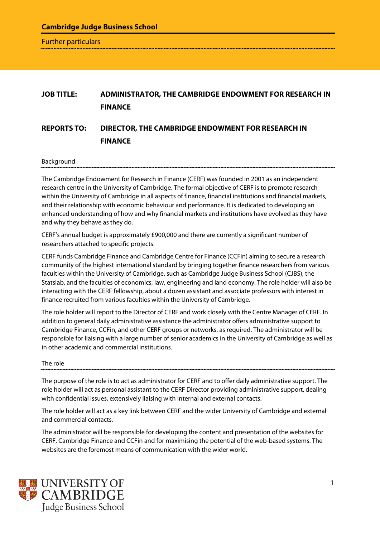**Cambridge Judge Business School**

Further particulars

# **JOB TITLE: ADMINISTRATOR, THE CAMBRIDGE ENDOWMENT FOR RESEARCH IN FINANCE REPORTS TO: DIRECTOR, THE CAMBRIDGE ENDOWMENT FOR RESEARCH IN FINANCE**

#### Background

The Cambridge Endowment for Research in Finance (CERF) was founded in 2001 as an independent research centre in the University of Cambridge. The formal objective of CERF is to promote research within the University of Cambridge in all aspects of finance, financial institutions and financial markets, and their relationship with economic behaviour and performance. It is dedicated to developing an enhanced understanding of how and why financial markets and institutions have evolved as they have and why they behave as they do.

CERF's annual budget is approximately £900,000 and there are currently a significant number of researchers attached to specific projects.

CERF funds Cambridge Finance and Cambridge Centre for Finance (CCFin) aiming to secure a research community of the highest international standard by bringing together finance researchers from various faculties within the University of Cambridge, such as Cambridge Judge Business School (CJBS), the Statslab, and the faculties of economics, law, engineering and land economy. The role holder will also be interacting with the CERF fellowship, about a dozen assistant and associate professors with interest in finance recruited from various faculties within the University of Cambridge.

The role holder will report to the Director of CERF and work closely with the Centre Manager of CERF. In addition to general daily administrative assistance the administrator offers administrative support to Cambridge Finance, CCFin, and other CERF groups or networks, as required. The administrator will be responsible for liaising with a large number of senior academics in the University of Cambridge as well as in other academic and commercial institutions.

## The role

The purpose of the role is to act as administrator for CERF and to offer daily administrative support. The role holder will act as personal assistant to the CERF Director providing administrative support, dealing with confidential issues, extensively liaising with internal and external contacts.

The role holder will act as a key link between CERF and the wider University of Cambridge and external and commercial contacts.

The administrator will be responsible for developing the content and presentation of the websites for CERF, Cambridge Finance and CCFin and for maximising the potential of the web-based systems. The websites are the foremost means of communication with the wider world.

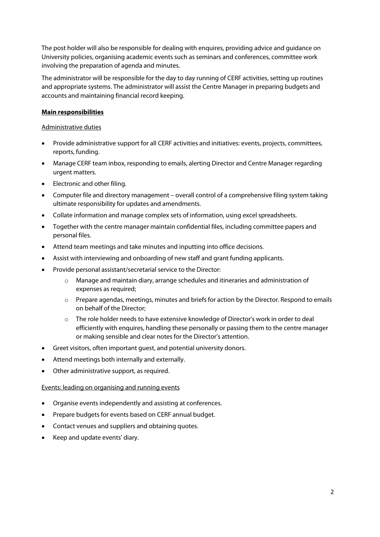The post holder will also be responsible for dealing with enquires, providing advice and guidance on University policies, organising academic events such as seminars and conferences, committee work involving the preparation of agenda and minutes.

The administrator will be responsible for the day to day running of CERF activities, setting up routines and appropriate systems. The administrator will assist the Centre Manager in preparing budgets and accounts and maintaining financial record keeping.

# **Main responsibilities**

## Administrative duties

- Provide administrative support for all CERF activities and initiatives: events, projects, committees, reports, funding.
- Manage CERF team inbox, responding to emails, alerting Director and Centre Manager regarding urgent matters.
- Electronic and other filing.
- Computer file and directory management overall control of a comprehensive filing system taking ultimate responsibility for updates and amendments.
- Collate information and manage complex sets of information, using excel spreadsheets.
- Together with the centre manager maintain confidential files, including committee papers and personal files.
- Attend team meetings and take minutes and inputting into office decisions.
- Assist with interviewing and onboarding of new staff and grant funding applicants.
- Provide personal assistant/secretarial service to the Director:
	- o Manage and maintain diary, arrange schedules and itineraries and administration of expenses as required;
	- o Prepare agendas, meetings, minutes and briefs for action by the Director. Respond to emails on behalf of the Director;
	- o The role holder needs to have extensive knowledge of Director's work in order to deal efficiently with enquires, handling these personally or passing them to the centre manager or making sensible and clear notes for the Director's attention.
- Greet visitors, often important guest, and potential university donors.
- Attend meetings both internally and externally.
- Other administrative support, as required.

## Events: leading on organising and running events

- Organise events independently and assisting at conferences.
- Prepare budgets for events based on CERF annual budget.
- Contact venues and suppliers and obtaining quotes.
- Keep and update events' diary.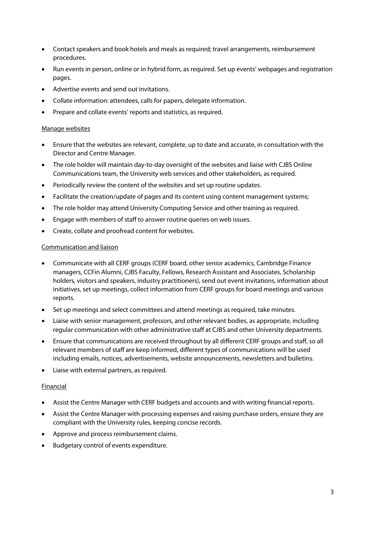- Contact speakers and book hotels and meals as required; travel arrangements, reimbursement procedures.
- Run events in person, online or in hybrid form, as required. Set up events' webpages and registration pages.
- Advertise events and send out invitations.
- Collate information: attendees, calls for papers, delegate information.
- Prepare and collate events' reports and statistics, as required.

## Manage websites

- Ensure that the websites are relevant, complete, up to date and accurate, in consultation with the Director and Centre Manager.
- The role holder will maintain day-to-day oversight of the websites and liaise with CJBS Online Communications team, the University web services and other stakeholders, as required.
- Periodically review the content of the websites and set up routine updates.
- Facilitate the creation/update of pages and its content using content management systems;
- The role holder may attend University Computing Service and other training as required.
- Engage with members of staff to answer routine queries on web issues.
- Create, collate and proofread content for websites.

#### Communication and liaison

- Communicate with all CERF groups (CERF board, other senior academics, Cambridge Finance managers, CCFin Alumni, CJBS Faculty, Fellows, Research Assistant and Associates, Scholarship holders, visitors and speakers, industry practitioners), send out event invitations, information about initiatives, set up meetings, collect information from CERF groups for board meetings and various reports.
- Set up meetings and select committees and attend meetings as required, take minutes.
- Liaise with senior management, professors, and other relevant bodies, as appropriate, including regular communication with other administrative staff at CJBS and other University departments.
- Ensure that communications are received throughout by all different CERF groups and staff, so all relevant members of staff are keep informed, different types of communications will be used including emails, notices, advertisements, website announcements, newsletters and bulletins.
- Liaise with external partners, as required.

## Financial

- Assist the Centre Manager with CERF budgets and accounts and with writing financial reports.
- Assist the Centre Manager with processing expenses and raising purchase orders, ensure they are compliant with the University rules, keeping concise records.
- Approve and process reimbursement claims.
- Budgetary control of events expenditure.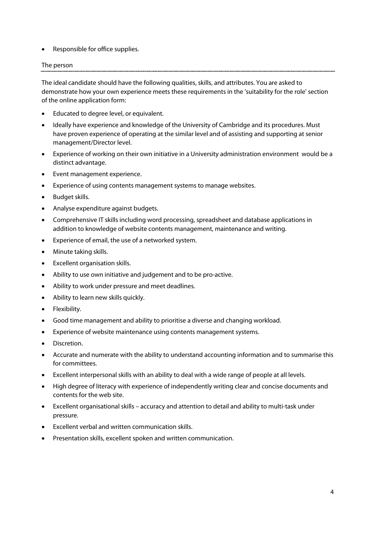Responsible for office supplies.

# The person

The ideal candidate should have the following qualities, skills, and attributes. You are asked to demonstrate how your own experience meets these requirements in the 'suitability for the role' section of the online application form:

- Educated to degree level, or equivalent.
- Ideally have experience and knowledge of the University of Cambridge and its procedures. Must have proven experience of operating at the similar level and of assisting and supporting at senior management/Director level.
- Experience of working on their own initiative in a University administration environment would be a distinct advantage.
- Event management experience.
- Experience of using contents management systems to manage websites.
- Budget skills.
- Analyse expenditure against budgets.
- Comprehensive IT skills including word processing, spreadsheet and database applications in addition to knowledge of website contents management, maintenance and writing.
- Experience of email, the use of a networked system.
- Minute taking skills.
- Excellent organisation skills.
- Ability to use own initiative and judgement and to be pro-active.
- Ability to work under pressure and meet deadlines.
- Ability to learn new skills quickly.
- Flexibility.
- Good time management and ability to prioritise a diverse and changing workload.
- Experience of website maintenance using contents management systems.
- Discretion.
- Accurate and numerate with the ability to understand accounting information and to summarise this for committees.
- Excellent interpersonal skills with an ability to deal with a wide range of people at all levels.
- High degree of literacy with experience of independently writing clear and concise documents and contents for the web site.
- Excellent organisational skills accuracy and attention to detail and ability to multi-task under pressure.
- Excellent verbal and written communication skills.
- Presentation skills, excellent spoken and written communication.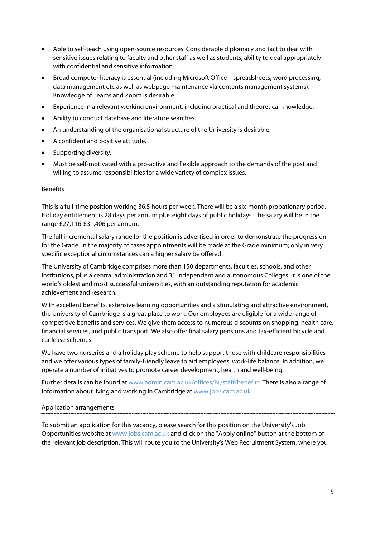- Able to self-teach using open-source resources. Considerable diplomacy and tact to deal with sensitive issues relating to faculty and other staff as well as students; ability to deal appropriately with confidential and sensitive information.
- Broad computer literacy is essential (including Microsoft Office spreadsheets, word processing, data management etc as well as webpage maintenance via contents management systems). Knowledge of Teams and Zoom is desirable.
- Experience in a relevant working environment, including practical and theoretical knowledge.
- Ability to conduct database and literature searches.
- An understanding of the organisational structure of the University is desirable.
- A confident and positive attitude.
- Supporting diversity.
- Must be self-motivated with a pro-active and flexible approach to the demands of the post and willing to assume responsibilities for a wide variety of complex issues.

#### Benefits

This is a full-time position working 36.5 hours per week. There will be a six-month probationary period. Holiday entitlement is 28 days per annum plus eight days of public holidays. The salary will be in the range £27,116-£31,406 per annum.

The full incremental salary range for the position is advertised in order to demonstrate the progression for the Grade. In the majority of cases appointments will be made at the Grade minimum; only in very specific exceptional circumstances can a higher salary be offered.

The University of Cambridge comprises more than 150 departments, faculties, schools, and other institutions, plus a central administration and 31 independent and autonomous Colleges. It is one of the world's oldest and most successful universities, with an outstanding reputation for academic achievement and research.

With excellent benefits, extensive learning opportunities and a stimulating and attractive environment, the University of Cambridge is a great place to work. Our employees are eligible for a wide range of competitive benefits and services. We give them access to numerous discounts on shopping, health care, financial services, and public transport. We also offer final salary pensions and tax-efficient bicycle and car lease schemes.

We have two nurseries and a holiday play scheme to help support those with childcare responsibilities and we offer various types of family-friendly leave to aid employees' work-life balance. In addition, we operate a number of initiatives to promote career development, health and well-being.

Further details can be found a[t www.admin.cam.ac.uk/offices/hr/staff/benefits.](http://www.admin.cam.ac.uk/offices/hr/staff/benefits/) There is also a range of information about living and working in Cambridge a[t www.jobs.cam.ac.uk.](http://www.jobs.cam.ac.uk/)

## Application arrangements

To submit an application for this vacancy, please search for this position on the University's Job Opportunities website at [www.jobs.cam.ac.uk](http://www.jobs.cam.ac.uk/) and click on the "Apply online" button at the bottom of the relevant job description. This will route you to the University's Web Recruitment System, where you